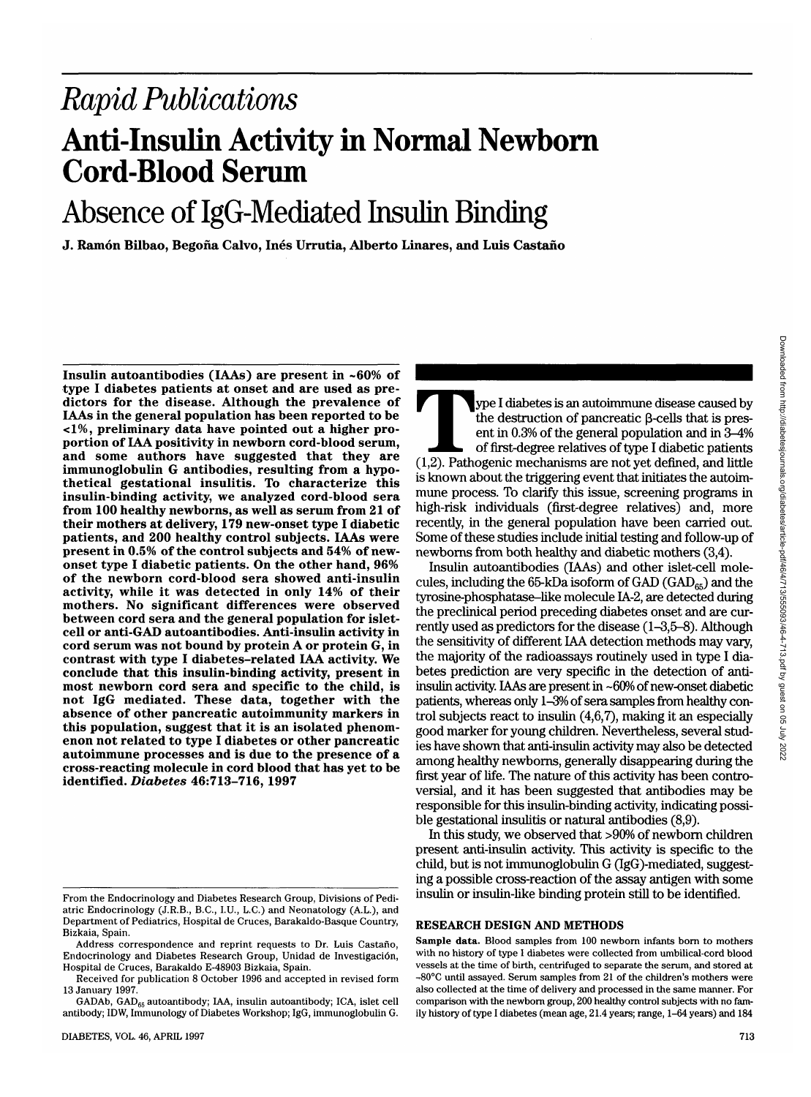# Absence of IgG-Mediated Insulin Binding

**J. Ramon Bilbao, Begofia Calvo, Ines Urrutia, Alberto Linares, and Luis Castano**

**Insulin autoantibodies (IAAs) are present in ~60% of** dictors for the disease. Although the prevalence of **IAAs in the general population has been reported to be <1%, preliminary data have pointed out a higher pro- portion of IAA positivity in newborn cord-blood serum, and some authors have suggested that they are immunoglobulin G antibodies, resulting from a hypo- thetical gestational insulitis. To characterize this insulin-binding activity, we analyzed cord-blood sera from 100 healthy newborns, as well as serum from 21 of their mothers at delivery, 179 new-onset type I diabetic patients, and 200 healthy control subjects. IAAs were present in 0.5% of the control subjects and 54% of new- onset type I diabetic patients. On the other hand, 96% of the newborn cord-blood sera showed anti-insulin activity, while it was detected in only 14% of their mothers. No significant differences were observed between cord sera and the general population for islet- cell or anti-GAD autoantibodies. Anti-insulin activity in cord serum was not bound by protein A or protein G, in contrast with type I diabetes-related IAA activity. We conclude that this insulin-binding activity, present in most newborn cord sera and specific to the child, is not IgG mediated. These data, together with the absence of other pancreatic autoimmunity markers in this population, suggest that it is an isolated phenom- enon not related to type I diabetes or other pancreatic autoimmune processes and is due to the presence of a cross-reacting molecule in cord blood that has yet to be identified.** *Diabetes* **46:713-716, 1997**

g I diabetes is an autoimmune disease caused by<br>the destruction of pancreatic β-cells that is present in 0.3% of the general population and in 3–4%<br>of first-degree relatives of type I diabetic patients<br>(1,2). Pathogenic m the destruction of pancreatic (3-cells that is present in 0.3% of the general population and in 3-4% of first-degree relatives of type I diabetic patients is known about the triggering event that initiates the autoimmune process. To clarify this issue, screening programs in high-risk individuals (first-degree relatives) and, more recently, in the general population have been carried out. Some of these studies include initial testing and follow-up of newborns from both healthy and diabetic mothers (3,4).

Insulin autoantibodies (IAAs) and other islet-cell molecules, including the 65-kDa isoform of GAD (GAD $_{65}$ ) and the tyrosine-phosphatase-like molecule IA-2, are detected during the preclinical period preceding diabetes onset and are currently used as predictors for the disease (1-3,5-8). Although the sensitivity of different IAA detection methods may vary, the majority of the radioassays routinely used in type I diabetes prediction are very specific in the detection of antiinsulin activity. IAAs are present in -60% of new-onset diabetic patients, whereas only 1-3% of sera samples from healthy control subjects react to insulin (4,6,7), making it an especially good marker for young children. Nevertheless, several studies have shown that anti-insulin activity may also be detected among healthy newborns, generally disappearing during the first year of life. The nature of this activity has been controversial, and it has been suggested that antibodies may be responsible for this insulin-binding activity, indicating possible gestational insulitis or natural antibodies (8,9).

In this study, we observed that >90% of newborn children present anti-insulin activity. This activity is specific to the child, but is not immunoglobulin G (IgG)-mediated, suggesting a possible cross-reaction of the assay antigen with some insulin or insulin-like binding protein still to be identified.

#### **RESEARCH DESIGN AND METHODS**

From the Endocrinology and Diabetes Research Group, Divisions of Pediatric Endocrinology (J.R.B., B.C., I.U., L.C.) and Neonatology (A.L.), and Department of Pediatrics, Hospital de Cruces, Barakaldo-Basque Country, Bizkaia, Spain.

Address correspondence and reprint requests to Dr. Luis Castano, Endocrinology and Diabetes Research Group, Unidad de Investigacion, Hospital de Cruces, Barakaldo E-48903 Bizkaia, Spain.

Received for publication 8 October 1996 and accepted in revised form 13 January 1997.

GADAb, GAD<sub>65</sub> autoantibody; IAA, insulin autoantibody; ICA, islet cell antibody; IDW, Immunology of Diabetes Workshop; IgG, immunoglobulin G.

**Sample data.** Blood samples from 100 newborn infants born to mothers with no history of type I diabetes were collected from umbilical-cord blood vessels at the time of birth, centrifuged to separate the serum, and stored at ^80°C until assayed. Serum samples from 21 of the children's mothers were also collected at the time of delivery and processed in the same manner. For comparison with the newborn group, 200 healthy control subjects with no family history of type I diabetes (mean age, 21.4 years; range, 1-64 years) **and 184**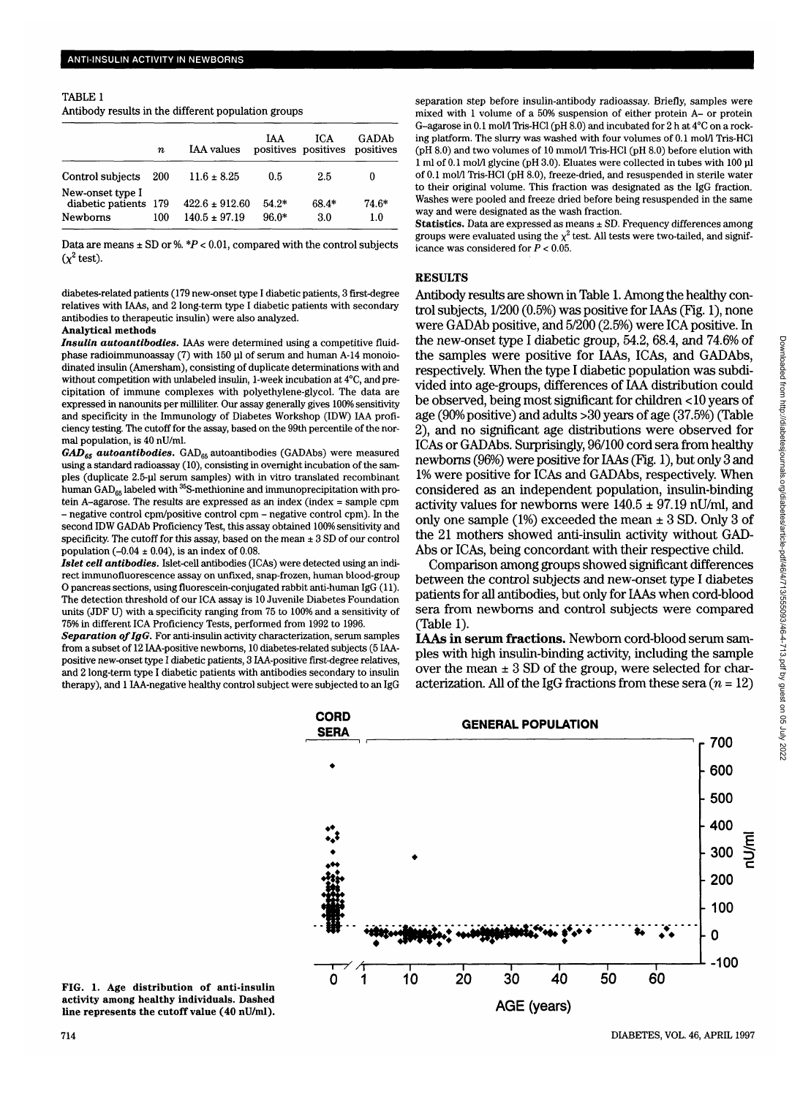TABLE 1 Antibody results in the different population groups

|                                                              |     | <b>IAA</b> values                       | IAA.               | ICA.<br>positives positives positives | GADAb            |
|--------------------------------------------------------------|-----|-----------------------------------------|--------------------|---------------------------------------|------------------|
|                                                              | n   |                                         |                    |                                       |                  |
| Control subjects                                             | 200 | $11.6 \pm 8.25$                         | 0.5                | 2.5                                   |                  |
| New-onset type I<br>diabetic patients 179<br><b>Newborns</b> | 100 | $422.6 \pm 912.60$<br>$140.5 \pm 97.19$ | $54.2*$<br>$96.0*$ | 68.4*<br>3.0                          | 74.6*<br>$1.0\,$ |

Data are means  $\pm$  SD or %.  $*P < 0.01$ , compared with the control subjects  $(\chi^2 \text{ test}).$ 

diabetes-related patients (179 new-onset type I diabetic patients, 3 first-degree relatives with IAAs, and 2 long-term type I diabetic patients with secondary antibodies to therapeutic insulin) were also analyzed.

#### **Analytical methods**

*Insulin autoantibodies.* IAAs were determined using a competitive fluidphase radioimmunoassay (7) with 150 ul of serum and human A-14 monoiodinated insulin (Amersham), consisting of duplicate determinations with and without competition with unlabeled insulin, 1-week incubation at 4°C, and precipitation of immune complexes with polyethylene-glycol. The data are expressed in nanounits per milliliter. Our assay generally gives 100% sensitivity and specificity in the Immunology of Diabetes Workshop (IDW) IAA proficiency testing. The cutoff for the assay, based on the 99th percentile of the normal population, is 40 nU/ml.

GAD<sub>65</sub> autoantibodies. GAD<sub>65</sub> autoantibodies (GADAbs) were measured using a standard radioassay (10), consisting in overnight incubation of the samples (duplicate 2.5-ul serum samples) with in vitro translated recombinant human  $\text{GAD}_{65}$  labeled with <sup>35</sup>S-methionine and immunoprecipitation with protein A-agarose. The results are expressed as an index (index = sample cpm - negative control cpm/positive control cpm - negative control cpm). In the second IDW GADAb Proficiency Test, this assay obtained 100% sensitivity and specificity. The cutoff for this assay, based on the mean  $\pm 3$  SD of our control population (-0.04  $\pm$  0.04), is an index of 0.08.

*Islet cell antibodies.* Islet-cell antibodies (ICAs) were detected using an indirect immunofluorescence assay on unfixed, snap-frozen, human blood-group O pancreas sections, using fluorescein-conjugated rabbit anti-human IgG (11). The detection threshold of our ICA assay is 10 Juvenile Diabetes Foundation units (JDF U) with a specificity ranging from 75 to 100% and a sensitivity of 75% in different ICA Proficiency Tests, performed from 1992 to 1996.

*Separation of IgG.* For anti-insulin activity characterization, serum samples from a subset of 12 IAA-positive newboms, 10 diabetes-related subjects (5IAApositive new-onset type I diabetic patients, 3 IAA-positive first-degree relatives, and 2 long-term type I diabetic patients with antibodies secondary to insulin therapy), and 1 IAA-negative healthy control subject were subjected to an IgG

separation step before insulin-antibody radioassay. Briefly, samples were mixed with 1 volume of a 50% suspension of either protein A- or protein G-agarose in 0.1 mol/1 Tris-HCl (pH 8.0) and incubated for 2 h at 4°C on a rocking platform. The slurry was washed with four volumes of 0.1 mol/1 Tris-HCl (pH 8.0) and two volumes of 10 mmol/1 Tris-HCl (pH 8.0) before elution with 1 ml of 0.1 mol/1 glycine (pH 3.0). Eluates were collected in tubes with 100 ul of 0.1 mol/1 Tris-HCl (pH 8.0), freeze-dried, and resuspended in sterile water to their original volume. This fraction was designated as the IgG fraction. Washes were pooled and freeze dried before being resuspended in the same way and were designated as the wash fraction.

Statistics. Data are expressed as means ± SD. Frequency differences among groups were evaluated using the  $\chi^2$  test. All tests were two-tailed, and significance was considered for *P <* 0.05.

#### **RESULTS**

Antibody results are shown in Table 1. Among the healthy control subjects, 1/200 (0.5%) was positive for IAAs (Fig. 1), none were GADAb positive, and 5/200 (2.5%) were ICA positive. In the new-onset type I diabetic group, 54.2, 68.4, and 74.6% of the samples were positive for IAAs, ICAs, and GADAbs, respectively. When the type I diabetic population was subdivided into age-groups, differences of IAA distribution could be observed, being most significant for children <10 years of age (90% positive) and adults >30 years of age (37.5%) (Table 2), and no significant age distributions were observed for ICAs or GADAbs. Surprisingly, 96/100 cord sera from healthy newboms (96%) were positive for IAAs (Fig. 1), but only 3 and 1% were positive for ICAs and GADAbs, respectively. When considered as an independent population, insulin-binding activity values for newborns were  $140.5 \pm 97.19$  nU/ml, and only one sample (1%) exceeded the mean  $\pm$  3 SD. Only 3 of the 21 mothers showed anti-insulin activity without GAD-Abs or ICAs, being concordant with their respective child.

Comparison among groups showed significant differences between the control subjects and new-onset type I diabetes patients for all antibodies, but only for IAAs when cord-blood sera from newborns and control subjects were compared (Table 1).

**IAAs in serum fractions.** Newborn cord-blood serum samples with high insulin-binding activity, including the sample over the mean  $\pm 3$  SD of the group, were selected for characterization. All of the IgG fractions from these sera  $(n = 12)$ 



Downloaded from http://diabetesjournals.org/diabetes/article-pdf/46/4/713/555093/46-4-713.pdf by guest on 05 July 2022 Downloaded from http://diabetesjournals.org/diabetes/article-pdf/46/4/713/555093/46-4-713.pdf by guest on 05 July 2022

**FIG. 1. Age distribution of anti-insulin activity among healthy individuals. Dashed line represents the cutoff value (40 nU/ml).**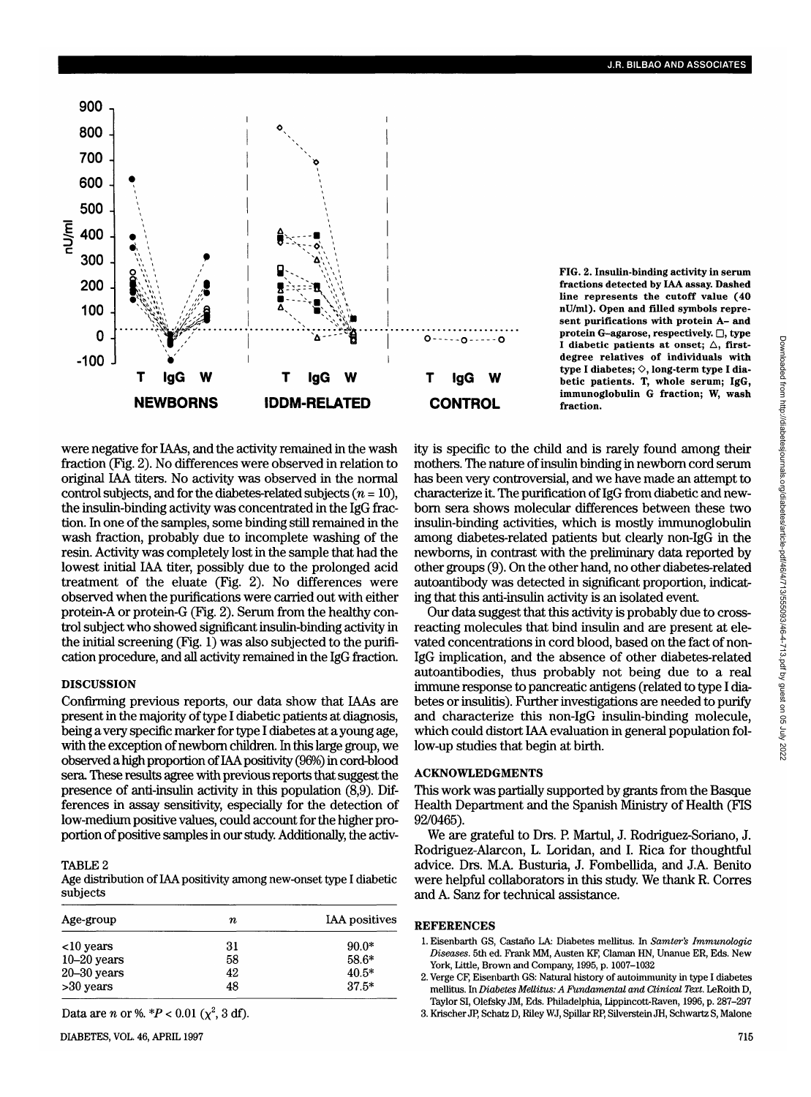

**FIG. 2. Insulin-binding activity in serum fractions detected by IAA assay. Dashed line represents the cutoff value (40 nU/ml). Open and filled symbols represent purifications with protein A- and protein G-agarose, respectively. D, type** I diabetic patients at onset;  $\triangle$ , first**degree relatives of individuals with** type I diabetes;  $\diamond$ , long-term type I dia**betic patients. T, whole serum; IgG, immunoglobulin G fraction; W, wash fraction.**

were negative for IAAs, and the activity remained in the wash fraction (Fig. 2). No differences were observed in relation to original IAA titers. No activity was observed in the normal control subjects, and for the diabetes-related subjects *(n =* 10), the insulin-binding activity was concentrated in the IgG fraction. In one of the samples, some binding still remained in the wash fraction, probably due to incomplete washing of the resin. Activity was completely lost in the sample that had the lowest initial IAA titer, possibly due to the prolonged acid treatment of the eluate (Fig. 2). No differences were observed when the purifications were carried out with either protein-A or protein-G (Fig. 2). Serum from the healthy control subject who showed significant insulin-binding activity in the initial screening (Fig. 1) was also subjected to the purification procedure, and all activity remained in the IgG fraction.

### DISCUSSION

Confirming previous reports, our data show that IAAs are present in the majority of type I diabetic patients at diagnosis, being a very specific marker for type I diabetes at a young age, with the exception of newborn children. In this large group, we observed a high proportion of IAA positivity (96%) in cord-blood sera These results agree with previous reports that suggest the presence of anti-insulin activity in this population (8,9). Differences in assay sensitivity, especially for the detection of low-medium positive values, could account for the higher proportion of positive samples in our study. Additionally, the activ-

#### TABLE<sub>2</sub>

Age distribution of IAA positivity among new-onset type I diabetic subjects

| Age-group       | n. | <b>IAA</b> positives |  |
|-----------------|----|----------------------|--|
| $10$ years      | 31 | $90.0*$              |  |
| $10-20$ years   | 58 | $58.6*$              |  |
| $20 - 30$ years | 42 | $40.5*$              |  |
| >30 years       | 48 | $37.5*$              |  |

Data are *n* or %.  $*P < 0.01$  ( $\chi^2$ , 3 df).

ity is specific to the child and is rarely found among their mothers. The nature of insulin binding in newborn cord serum has been very controversial, and we have made an attempt to characterize it. The purification of IgG from diabetic and newborn sera shows molecular differences between these two insulin-binding activities, which is mostly immunoglobulin among diabetes-related patients but clearly non-IgG in the newboms, in contrast with the preliminary data reported by other groups (9). On the other hand, no other diabetes-related autoantibody was detected in significant proportion, indicating that this anti-insulin activity is an isolated event.

Our data suggest that this activity is probably due to crossreacting molecules that bind insulin and are present at elevated concentrations in cord blood, based on the fact of non-IgG implication, and the absence of other diabetes-related autoantibodies, thus probably not being due to a real immune response to pancreatic antigens (related to type I diabetes or insulitis). Further investigations are needed to purify and characterize this non-IgG insulin-binding molecule, which could distort IAA evaluation in general population follow-up studies that begin at birth.

## ACKNOWLEDGMENTS

This work was partially supported by grants from the Basque Health Department and the Spanish Ministry of Health (FIS 92/0465).

We are grateful to Drs. P. Martul, J. Rodriguez-Soriano, J. Rodriguez-Alarcon, L. Loridan, and I. Rica for thoughtful advice. Drs. M.A. Busturia, J. Fombellida, and J.A. Benito were helpful collaborators in this study. We thank R. Corres and A. Sanz for technical assistance.

## **REFERENCES**

- 1. Eisenbarth GS, Castano LA: Diabetes mellitus. In *Samter's Immunologic Diseases.* 5th ed. Frank MM, Austen KF, Claman HN, Unanue ER, Eds. New York, Little, Brown and Company, 1995, p. 1007-1032
- 2. Verge CF, Eisenbarth GS: Natural history of autoimmunity in type I diabetes mellitus. In *Diabetes Mellitus: A Fundamental and Clinical Text.* LeRoith D, Taylor SI, Olefsky JM, Eds. Philadelphia, Iippincott-Raven, 1996, p. 287-297
- 3. Krischer JP, Schatz D, Riley WJ, Spillar RP, Silverstein JH, Schwartz S, Malone